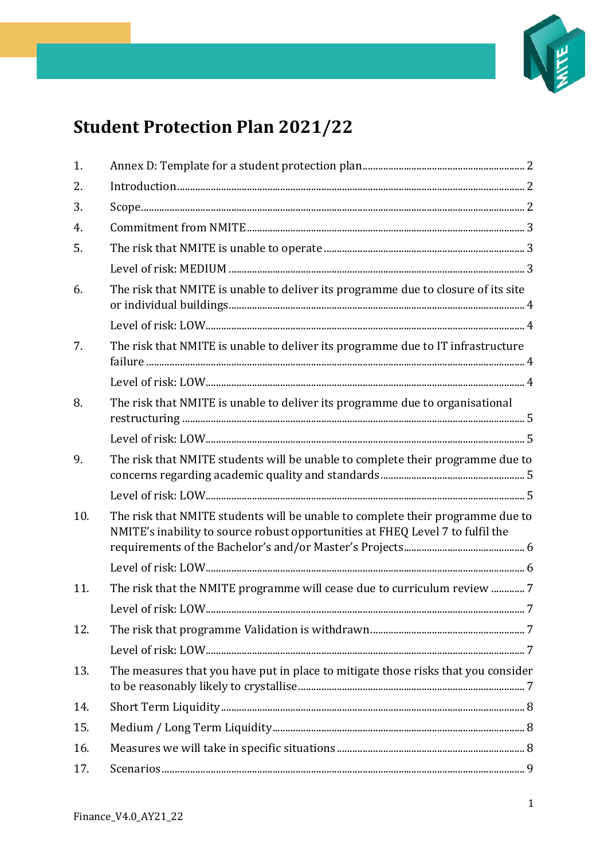

# **Student Protection Plan 2021/22**

| 1.  |                                                                                                                                                                  |  |
|-----|------------------------------------------------------------------------------------------------------------------------------------------------------------------|--|
| 2.  |                                                                                                                                                                  |  |
| 3.  |                                                                                                                                                                  |  |
| 4.  |                                                                                                                                                                  |  |
| 5.  |                                                                                                                                                                  |  |
|     |                                                                                                                                                                  |  |
| 6.  | The risk that NMITE is unable to deliver its programme due to closure of its site                                                                                |  |
|     |                                                                                                                                                                  |  |
| 7.  | The risk that NMITE is unable to deliver its programme due to IT infrastructure                                                                                  |  |
|     |                                                                                                                                                                  |  |
| 8.  | The risk that NMITE is unable to deliver its programme due to organisational                                                                                     |  |
|     |                                                                                                                                                                  |  |
| 9.  | The risk that NMITE students will be unable to complete their programme due to                                                                                   |  |
|     |                                                                                                                                                                  |  |
| 10. | The risk that NMITE students will be unable to complete their programme due to<br>NMITE's inability to source robust opportunities at FHEQ Level 7 to fulfil the |  |
|     |                                                                                                                                                                  |  |
| 11. | The risk that the NMITE programme will cease due to curriculum review  7                                                                                         |  |
|     |                                                                                                                                                                  |  |
| 12. |                                                                                                                                                                  |  |
|     |                                                                                                                                                                  |  |
| 13. | The measures that you have put in place to mitigate those risks that you consider                                                                                |  |
| 14. |                                                                                                                                                                  |  |
| 15. |                                                                                                                                                                  |  |
| 16. |                                                                                                                                                                  |  |
| 17. |                                                                                                                                                                  |  |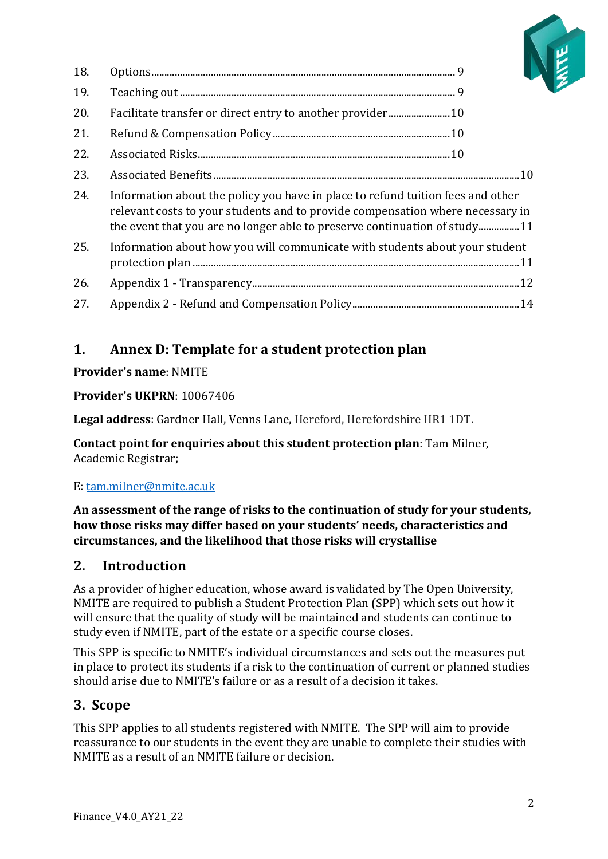

| 18. |                                                                                                                                                                                                                                                |
|-----|------------------------------------------------------------------------------------------------------------------------------------------------------------------------------------------------------------------------------------------------|
| 19. |                                                                                                                                                                                                                                                |
| 20. |                                                                                                                                                                                                                                                |
| 21. |                                                                                                                                                                                                                                                |
| 22. |                                                                                                                                                                                                                                                |
| 23. |                                                                                                                                                                                                                                                |
| 24. | Information about the policy you have in place to refund tuition fees and other<br>relevant costs to your students and to provide compensation where necessary in<br>the event that you are no longer able to preserve continuation of study11 |
| 25. | Information about how you will communicate with students about your student                                                                                                                                                                    |
| 26. |                                                                                                                                                                                                                                                |
|     |                                                                                                                                                                                                                                                |

27. Appendix 2 - Refund and Compensation Policy.................................................................14

# **1. Annex D: Template for a student protection plan**

**Provider's name**: NMITE

**Provider's UKPRN**: 10067406

**Legal address**: Gardner Hall, Venns Lane, Hereford, Herefordshire HR1 1DT.

**Contact point for enquiries about this student protection plan**: Tam Milner, Academic Registrar;

#### E[: tam.milner@nmite.ac.uk](mailto:tam.milner@nmite.ac.uk)

**An assessment of the range of risks to the continuation of study for your students, how those risks may differ based on your students' needs, characteristics and circumstances, and the likelihood that those risks will crystallise**

# **2. Introduction**

As a provider of higher education, whose award is validated by The Open University, NMITE are required to publish a Student Protection Plan (SPP) which sets out how it will ensure that the quality of study will be maintained and students can continue to study even if NMITE, part of the estate or a specific course closes.

This SPP is specific to NMITE's individual circumstances and sets out the measures put in place to protect its students if a risk to the continuation of current or planned studies should arise due to NMITE's failure or as a result of a decision it takes.

# **3. Scope**

This SPP applies to all students registered with NMITE. The SPP will aim to provide reassurance to our students in the event they are unable to complete their studies with NMITE as a result of an NMITE failure or decision.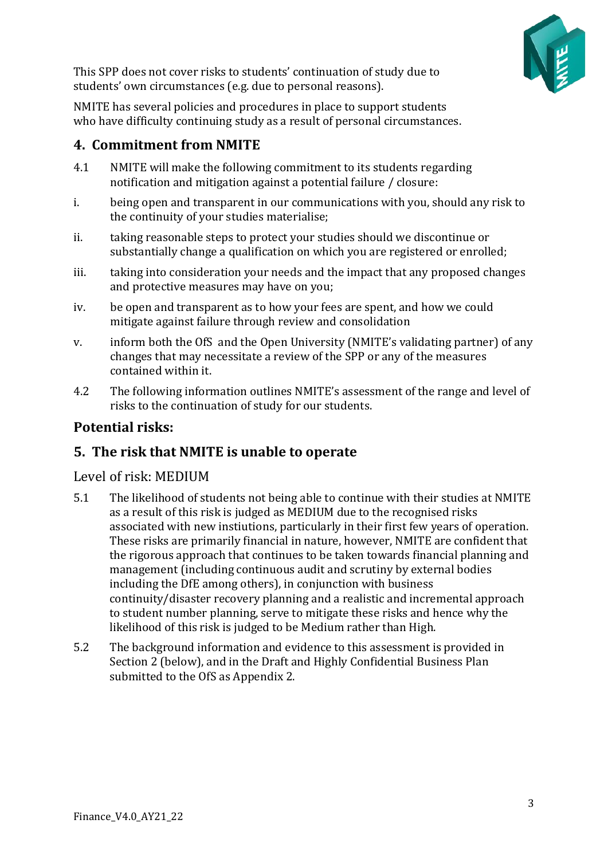

This SPP does not cover risks to students' continuation of study due to students' own circumstances (e.g. due to personal reasons).

NMITE has several policies and procedures in place to support students who have difficulty continuing study as a result of personal circumstances.

#### **4. Commitment from NMITE**

- 4.1 NMITE will make the following commitment to its students regarding notification and mitigation against a potential failure / closure:
- i. being open and transparent in our communications with you, should any risk to the continuity of your studies materialise;
- ii. taking reasonable steps to protect your studies should we discontinue or substantially change a qualification on which you are registered or enrolled;
- iii. taking into consideration your needs and the impact that any proposed changes and protective measures may have on you;
- iv. be open and transparent as to how your fees are spent, and how we could mitigate against failure through review and consolidation
- v. inform both the OfS and the Open University (NMITE's validating partner) of any changes that may necessitate a review of the SPP or any of the measures contained within it.
- 4.2 The following information outlines NMITE's assessment of the range and level of risks to the continuation of study for our students.

# **Potential risks:**

# **5. The risk that NMITE is unable to operate**

#### Level of risk: MEDIUM

- 5.1 The likelihood of students not being able to continue with their studies at NMITE as a result of this risk is judged as MEDIUM due to the recognised risks associated with new instiutions, particularly in their first few years of operation. These risks are primarily financial in nature, however, NMITE are confident that the rigorous approach that continues to be taken towards financial planning and management (including continuous audit and scrutiny by external bodies including the DfE among others), in conjunction with business continuity/disaster recovery planning and a realistic and incremental approach to student number planning, serve to mitigate these risks and hence why the likelihood of this risk is judged to be Medium rather than High.
- 5.2 The background information and evidence to this assessment is provided in Section 2 (below), and in the Draft and Highly Confidential Business Plan submitted to the OfS as Appendix 2.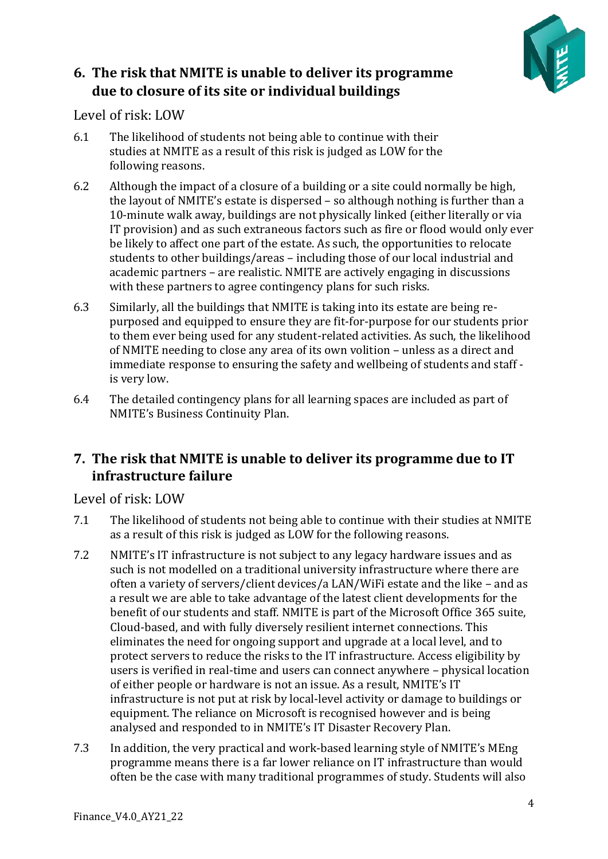

# **6. The risk that NMITE is unable to deliver its programme due to closure of its site or individual buildings**

Level of risk: LOW

- 6.1 The likelihood of students not being able to continue with their studies at NMITE as a result of this risk is judged as LOW for the following reasons.
- 6.2 Although the impact of a closure of a building or a site could normally be high, the layout of NMITE's estate is dispersed – so although nothing is further than a 10-minute walk away, buildings are not physically linked (either literally or via IT provision) and as such extraneous factors such as fire or flood would only ever be likely to affect one part of the estate. As such, the opportunities to relocate students to other buildings/areas – including those of our local industrial and academic partners – are realistic. NMITE are actively engaging in discussions with these partners to agree contingency plans for such risks.
- 6.3 Similarly, all the buildings that NMITE is taking into its estate are being repurposed and equipped to ensure they are fit-for-purpose for our students prior to them ever being used for any student-related activities. As such, the likelihood of NMITE needing to close any area of its own volition – unless as a direct and immediate response to ensuring the safety and wellbeing of students and staff is very low.
- 6.4 The detailed contingency plans for all learning spaces are included as part of NMITE's Business Continuity Plan.

# **7. The risk that NMITE is unable to deliver its programme due to IT infrastructure failure**

Level of risk: LOW

- 7.1 The likelihood of students not being able to continue with their studies at NMITE as a result of this risk is judged as LOW for the following reasons.
- 7.2 NMITE's IT infrastructure is not subject to any legacy hardware issues and as such is not modelled on a traditional university infrastructure where there are often a variety of servers/client devices/a LAN/WiFi estate and the like – and as a result we are able to take advantage of the latest client developments for the benefit of our students and staff. NMITE is part of the Microsoft Office 365 suite, Cloud-based, and with fully diversely resilient internet connections. This eliminates the need for ongoing support and upgrade at a local level, and to protect servers to reduce the risks to the IT infrastructure. Access eligibility by users is verified in real-time and users can connect anywhere – physical location of either people or hardware is not an issue. As a result, NMITE's IT infrastructure is not put at risk by local-level activity or damage to buildings or equipment. The reliance on Microsoft is recognised however and is being analysed and responded to in NMITE's IT Disaster Recovery Plan.
- 7.3 In addition, the very practical and work-based learning style of NMITE's MEng programme means there is a far lower reliance on IT infrastructure than would often be the case with many traditional programmes of study. Students will also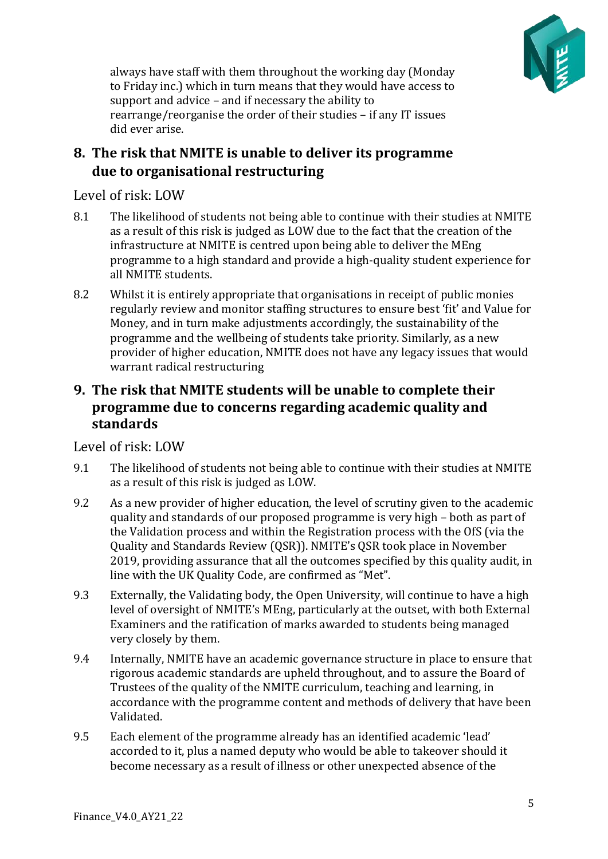

always have staff with them throughout the working day (Monday to Friday inc.) which in turn means that they would have access to support and advice – and if necessary the ability to rearrange/reorganise the order of their studies – if any IT issues did ever arise.

# **8. The risk that NMITE is unable to deliver its programme due to organisational restructuring**

#### Level of risk: LOW

- 8.1 The likelihood of students not being able to continue with their studies at NMITE as a result of this risk is judged as LOW due to the fact that the creation of the infrastructure at NMITE is centred upon being able to deliver the MEng programme to a high standard and provide a high-quality student experience for all NMITE students.
- 8.2 Whilst it is entirely appropriate that organisations in receipt of public monies regularly review and monitor staffing structures to ensure best 'fit' and Value for Money, and in turn make adjustments accordingly, the sustainability of the programme and the wellbeing of students take priority. Similarly, as a new provider of higher education, NMITE does not have any legacy issues that would warrant radical restructuring

## **9. The risk that NMITE students will be unable to complete their programme due to concerns regarding academic quality and standards**

Level of risk: LOW

- 9.1 The likelihood of students not being able to continue with their studies at NMITE as a result of this risk is judged as LOW.
- 9.2 As a new provider of higher education, the level of scrutiny given to the academic quality and standards of our proposed programme is very high – both as part of the Validation process and within the Registration process with the OfS (via the Quality and Standards Review (QSR)). NMITE's QSR took place in November 2019, providing assurance that all the outcomes specified by this quality audit, in line with the UK Quality Code, are confirmed as "Met".
- 9.3 Externally, the Validating body, the Open University, will continue to have a high level of oversight of NMITE's MEng, particularly at the outset, with both External Examiners and the ratification of marks awarded to students being managed very closely by them.
- 9.4 Internally, NMITE have an academic governance structure in place to ensure that rigorous academic standards are upheld throughout, and to assure the Board of Trustees of the quality of the NMITE curriculum, teaching and learning, in accordance with the programme content and methods of delivery that have been Validated.
- 9.5 Each element of the programme already has an identified academic 'lead' accorded to it, plus a named deputy who would be able to takeover should it become necessary as a result of illness or other unexpected absence of the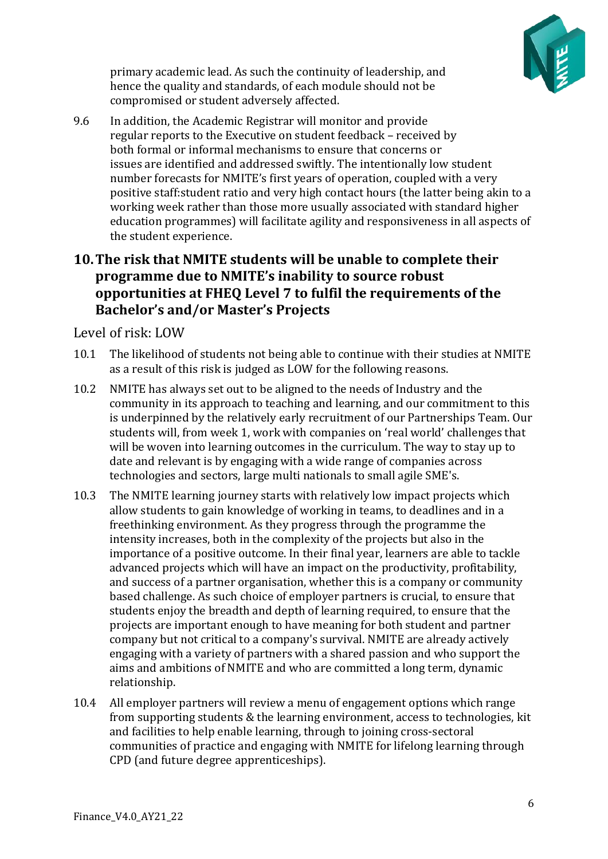

primary academic lead. As such the continuity of leadership, and hence the quality and standards, of each module should not be compromised or student adversely affected.

9.6 In addition, the Academic Registrar will monitor and provide regular reports to the Executive on student feedback – received by both formal or informal mechanisms to ensure that concerns or issues are identified and addressed swiftly. The intentionally low student number forecasts for NMITE's first years of operation, coupled with a very positive staff:student ratio and very high contact hours (the latter being akin to a working week rather than those more usually associated with standard higher education programmes) will facilitate agility and responsiveness in all aspects of the student experience.

## **10.The risk that NMITE students will be unable to complete their programme due to NMITE's inability to source robust opportunities at FHEQ Level 7 to fulfil the requirements of the Bachelor's and/or Master's Projects**

#### Level of risk: LOW

- 10.1 The likelihood of students not being able to continue with their studies at NMITE as a result of this risk is judged as LOW for the following reasons.
- 10.2 NMITE has always set out to be aligned to the needs of Industry and the community in its approach to teaching and learning, and our commitment to this is underpinned by the relatively early recruitment of our Partnerships Team. Our students will, from week 1, work with companies on 'real world' challenges that will be woven into learning outcomes in the curriculum. The way to stay up to date and relevant is by engaging with a wide range of companies across technologies and sectors, large multi nationals to small agile SME's.
- 10.3 The NMITE learning journey starts with relatively low impact projects which allow students to gain knowledge of working in teams, to deadlines and in a freethinking environment. As they progress through the programme the intensity increases, both in the complexity of the projects but also in the importance of a positive outcome. In their final year, learners are able to tackle advanced projects which will have an impact on the productivity, profitability, and success of a partner organisation, whether this is a company or community based challenge. As such choice of employer partners is crucial, to ensure that students enjoy the breadth and depth of learning required, to ensure that the projects are important enough to have meaning for both student and partner company but not critical to a company's survival. NMITE are already actively engaging with a variety of partners with a shared passion and who support the aims and ambitions of NMITE and who are committed a long term, dynamic relationship.
- 10.4 All employer partners will review a menu of engagement options which range from supporting students & the learning environment, access to technologies, kit and facilities to help enable learning, through to joining cross-sectoral communities of practice and engaging with NMITE for lifelong learning through CPD (and future degree apprenticeships).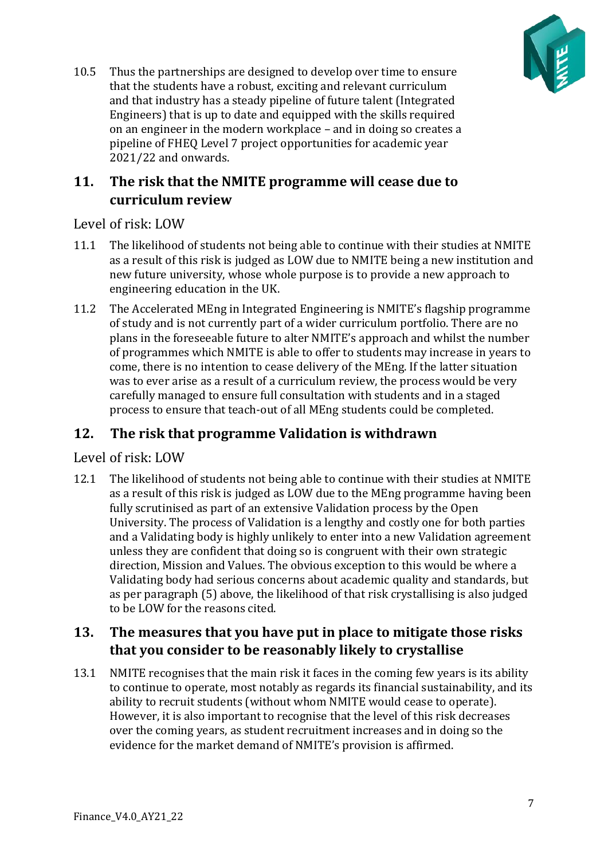

10.5 Thus the partnerships are designed to develop over time to ensure that the students have a robust, exciting and relevant curriculum and that industry has a steady pipeline of future talent (Integrated Engineers) that is up to date and equipped with the skills required on an engineer in the modern workplace – and in doing so creates a pipeline of FHEQ Level 7 project opportunities for academic year 2021/22 and onwards.

# **11. The risk that the NMITE programme will cease due to curriculum review**

Level of risk: LOW

- 11.1 The likelihood of students not being able to continue with their studies at NMITE as a result of this risk is judged as LOW due to NMITE being a new institution and new future university, whose whole purpose is to provide a new approach to engineering education in the UK.
- 11.2 The Accelerated MEng in Integrated Engineering is NMITE's flagship programme of study and is not currently part of a wider curriculum portfolio. There are no plans in the foreseeable future to alter NMITE's approach and whilst the number of programmes which NMITE is able to offer to students may increase in years to come, there is no intention to cease delivery of the MEng. If the latter situation was to ever arise as a result of a curriculum review, the process would be very carefully managed to ensure full consultation with students and in a staged process to ensure that teach-out of all MEng students could be completed.

# **12. The risk that programme Validation is withdrawn**

#### Level of risk: LOW

12.1 The likelihood of students not being able to continue with their studies at NMITE as a result of this risk is judged as LOW due to the MEng programme having been fully scrutinised as part of an extensive Validation process by the Open University. The process of Validation is a lengthy and costly one for both parties and a Validating body is highly unlikely to enter into a new Validation agreement unless they are confident that doing so is congruent with their own strategic direction, Mission and Values. The obvious exception to this would be where a Validating body had serious concerns about academic quality and standards, but as per paragraph (5) above, the likelihood of that risk crystallising is also judged to be LOW for the reasons cited.

# **13. The measures that you have put in place to mitigate those risks that you consider to be reasonably likely to crystallise**

13.1 NMITE recognises that the main risk it faces in the coming few years is its ability to continue to operate, most notably as regards its financial sustainability, and its ability to recruit students (without whom NMITE would cease to operate). However, it is also important to recognise that the level of this risk decreases over the coming years, as student recruitment increases and in doing so the evidence for the market demand of NMITE's provision is affirmed.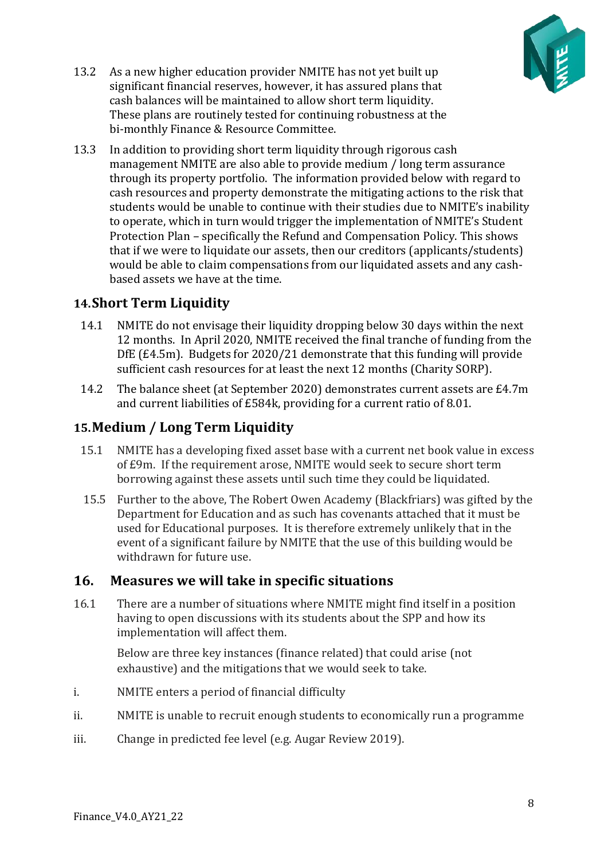

- 13.2 As a new higher education provider NMITE has not yet built up significant financial reserves, however, it has assured plans that cash balances will be maintained to allow short term liquidity. These plans are routinely tested for continuing robustness at the bi-monthly Finance & Resource Committee.
- 13.3 In addition to providing short term liquidity through rigorous cash management NMITE are also able to provide medium / long term assurance through its property portfolio. The information provided below with regard to cash resources and property demonstrate the mitigating actions to the risk that students would be unable to continue with their studies due to NMITE's inability to operate, which in turn would trigger the implementation of NMITE's Student Protection Plan – specifically the Refund and Compensation Policy. This shows that if we were to liquidate our assets, then our creditors (applicants/students) would be able to claim compensations from our liquidated assets and any cashbased assets we have at the time.

#### **14.Short Term Liquidity**

- 14.1 NMITE do not envisage their liquidity dropping below 30 days within the next 12 months. In April 2020, NMITE received the final tranche of funding from the DfE (£4.5m). Budgets for 2020/21 demonstrate that this funding will provide sufficient cash resources for at least the next 12 months (Charity SORP).
- 14.2 The balance sheet (at September 2020) demonstrates current assets are £4.7m and current liabilities of £584k, providing for a current ratio of 8.01.

### **15.Medium / Long Term Liquidity**

- 15.1 NMITE has a developing fixed asset base with a current net book value in excess of £9m. If the requirement arose, NMITE would seek to secure short term borrowing against these assets until such time they could be liquidated.
- 15.5 Further to the above, The Robert Owen Academy (Blackfriars) was gifted by the Department for Education and as such has covenants attached that it must be used for Educational purposes. It is therefore extremely unlikely that in the event of a significant failure by NMITE that the use of this building would be withdrawn for future use.

#### **16. Measures we will take in specific situations**

16.1 There are a number of situations where NMITE might find itself in a position having to open discussions with its students about the SPP and how its implementation will affect them.

Below are three key instances (finance related) that could arise (not exhaustive) and the mitigations that we would seek to take.

- i. NMITE enters a period of financial difficulty
- ii. NMITE is unable to recruit enough students to economically run a programme
- iii. Change in predicted fee level (e.g. Augar Review 2019).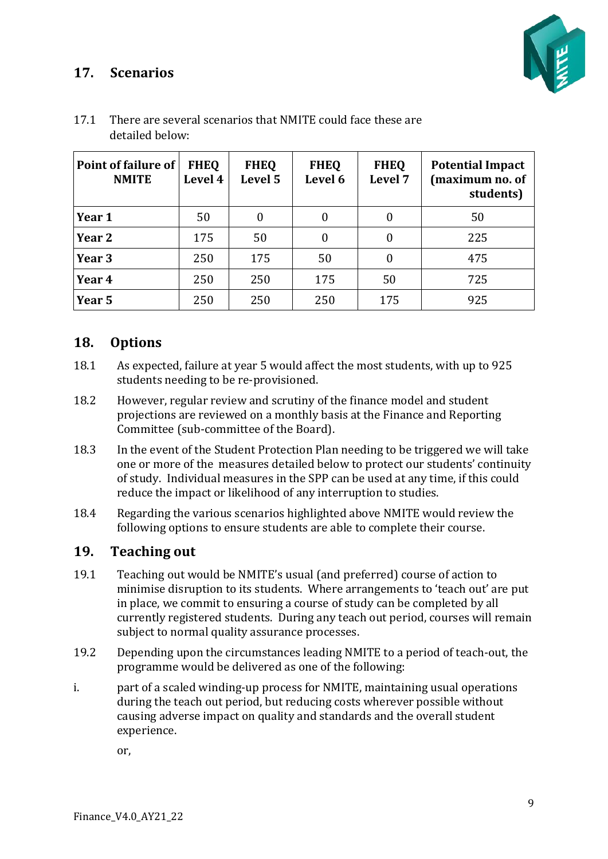

# **17. Scenarios**

| Point of failure of<br><b>NMITE</b> | <b>FHEQ</b><br>Level 4 | <b>FHEQ</b><br>Level 5 | <b>FHEQ</b><br>Level 6 | <b>FHEQ</b><br>Level 7 | <b>Potential Impact</b><br>(maximum no. of<br>students) |
|-------------------------------------|------------------------|------------------------|------------------------|------------------------|---------------------------------------------------------|
| Year 1                              | 50                     | $\boldsymbol{0}$       | 0                      | 0                      | 50                                                      |
| Year 2                              | 175                    | 50                     | $\overline{0}$         | $\theta$               | 225                                                     |
| Year 3                              | 250                    | 175                    | 50                     | 0                      | 475                                                     |
| Year 4                              | 250                    | 250                    | 175                    | 50                     | 725                                                     |
| Year 5                              | 250                    | 250                    | 250                    | 175                    | 925                                                     |

17.1 There are several scenarios that NMITE could face these are detailed below:

#### **18. Options**

- 18.1 As expected, failure at year 5 would affect the most students, with up to 925 students needing to be re-provisioned.
- 18.2 However, regular review and scrutiny of the finance model and student projections are reviewed on a monthly basis at the Finance and Reporting Committee (sub-committee of the Board).
- 18.3 In the event of the Student Protection Plan needing to be triggered we will take one or more of the measures detailed below to protect our students' continuity of study. Individual measures in the SPP can be used at any time, if this could reduce the impact or likelihood of any interruption to studies.
- 18.4 Regarding the various scenarios highlighted above NMITE would review the following options to ensure students are able to complete their course.

#### **19. Teaching out**

- 19.1 Teaching out would be NMITE's usual (and preferred) course of action to minimise disruption to its students. Where arrangements to 'teach out' are put in place, we commit to ensuring a course of study can be completed by all currently registered students. During any teach out period, courses will remain subject to normal quality assurance processes.
- 19.2 Depending upon the circumstances leading NMITE to a period of teach-out, the programme would be delivered as one of the following:
- i. part of a scaled winding-up process for NMITE, maintaining usual operations during the teach out period, but reducing costs wherever possible without causing adverse impact on quality and standards and the overall student experience.

or,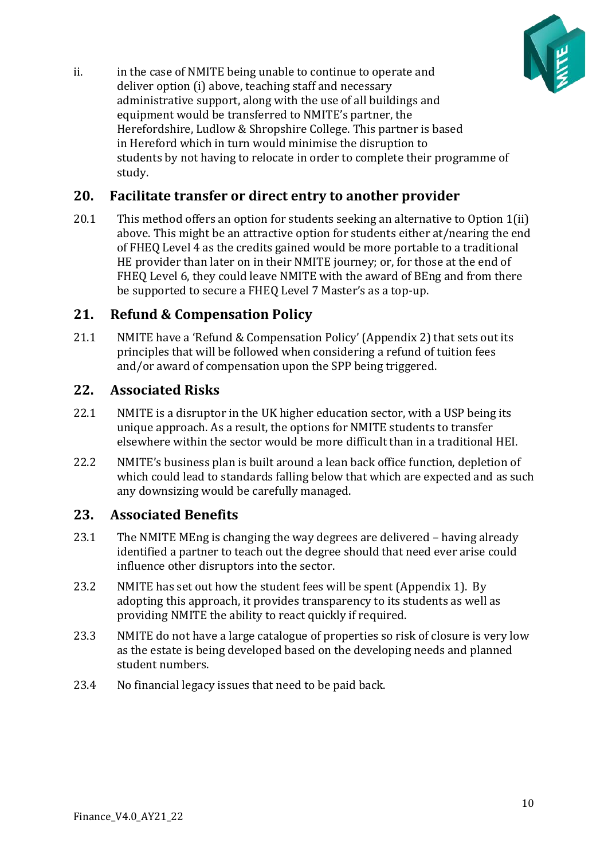

ii. in the case of NMITE being unable to continue to operate and deliver option (i) above, teaching staff and necessary administrative support, along with the use of all buildings and equipment would be transferred to NMITE's partner, the Herefordshire, Ludlow & Shropshire College. This partner is based in Hereford which in turn would minimise the disruption to students by not having to relocate in order to complete their programme of study.

#### **20. Facilitate transfer or direct entry to another provider**

20.1 This method offers an option for students seeking an alternative to Option 1(ii) above. This might be an attractive option for students either at/nearing the end of FHEQ Level 4 as the credits gained would be more portable to a traditional HE provider than later on in their NMITE journey; or, for those at the end of FHEQ Level 6, they could leave NMITE with the award of BEng and from there be supported to secure a FHEQ Level 7 Master's as a top-up.

#### **21. Refund & Compensation Policy**

21.1 NMITE have a 'Refund & Compensation Policy' (Appendix 2) that sets out its principles that will be followed when considering a refund of tuition fees and/or award of compensation upon the SPP being triggered.

#### **22. Associated Risks**

- 22.1 NMITE is a disruptor in the UK higher education sector, with a USP being its unique approach. As a result, the options for NMITE students to transfer elsewhere within the sector would be more difficult than in a traditional HEI.
- 22.2 NMITE's business plan is built around a lean back office function, depletion of which could lead to standards falling below that which are expected and as such any downsizing would be carefully managed.

#### **23. Associated Benefits**

- 23.1 The NMITE MEng is changing the way degrees are delivered having already identified a partner to teach out the degree should that need ever arise could influence other disruptors into the sector.
- 23.2 NMITE has set out how the student fees will be spent (Appendix 1). By adopting this approach, it provides transparency to its students as well as providing NMITE the ability to react quickly if required.
- 23.3 NMITE do not have a large catalogue of properties so risk of closure is very low as the estate is being developed based on the developing needs and planned student numbers.
- 23.4 No financial legacy issues that need to be paid back.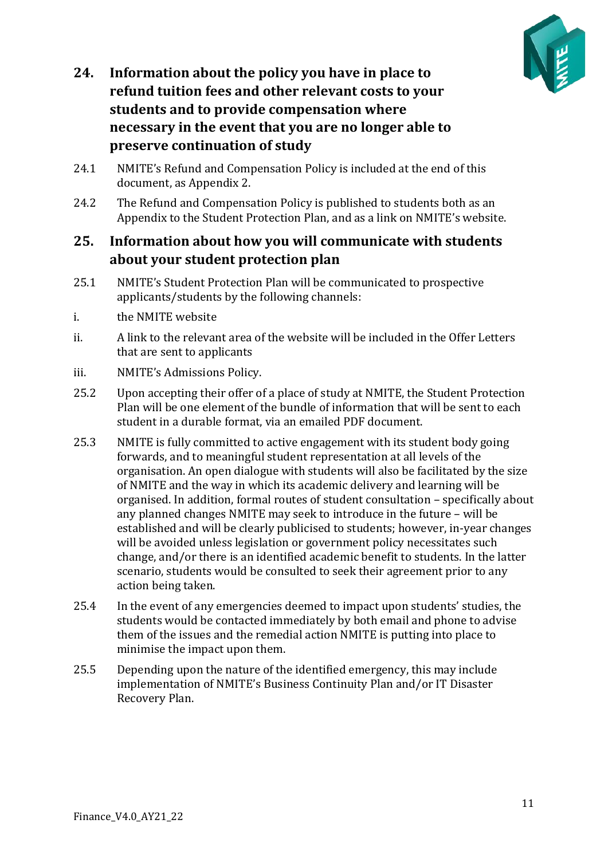

- **24. Information about the policy you have in place to refund tuition fees and other relevant costs to your students and to provide compensation where necessary in the event that you are no longer able to preserve continuation of study**
- 24.1 NMITE's Refund and Compensation Policy is included at the end of this document, as Appendix 2.
- 24.2 The Refund and Compensation Policy is published to students both as an Appendix to the Student Protection Plan, and as a link on NMITE's website.

#### **25. Information about how you will communicate with students about your student protection plan**

- 25.1 NMITE's Student Protection Plan will be communicated to prospective applicants/students by the following channels:
- i. the NMITE website
- ii. A link to the relevant area of the website will be included in the Offer Letters that are sent to applicants
- iii. NMITE's Admissions Policy.
- 25.2 Upon accepting their offer of a place of study at NMITE, the Student Protection Plan will be one element of the bundle of information that will be sent to each student in a durable format, via an emailed PDF document.
- 25.3 NMITE is fully committed to active engagement with its student body going forwards, and to meaningful student representation at all levels of the organisation. An open dialogue with students will also be facilitated by the size of NMITE and the way in which its academic delivery and learning will be organised. In addition, formal routes of student consultation – specifically about any planned changes NMITE may seek to introduce in the future – will be established and will be clearly publicised to students; however, in-year changes will be avoided unless legislation or government policy necessitates such change, and/or there is an identified academic benefit to students. In the latter scenario, students would be consulted to seek their agreement prior to any action being taken.
- 25.4 In the event of any emergencies deemed to impact upon students' studies, the students would be contacted immediately by both email and phone to advise them of the issues and the remedial action NMITE is putting into place to minimise the impact upon them.
- 25.5 Depending upon the nature of the identified emergency, this may include implementation of NMITE's Business Continuity Plan and/or IT Disaster Recovery Plan.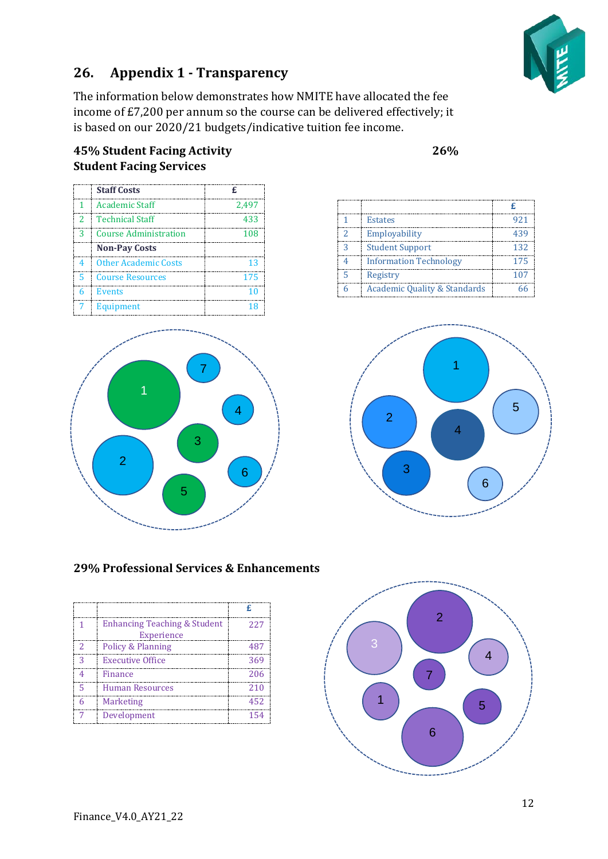

# **26. Appendix 1 - Transparency**

The information below demonstrates how NMITE have allocated the fee income of £7,200 per annum so the course can be delivered effectively; it is based on our 2020/21 budgets/indicative tuition fee income.

#### **45% Student Facing Activity 26% Student Facing Services**

|                | <b>Staff Costs</b>           | £     |
|----------------|------------------------------|-------|
| 1              | <b>Academic Staff</b>        | 2.497 |
| $\overline{2}$ | <b>Technical Staff</b>       | 433   |
| 3              | <b>Course Administration</b> | 108   |
|                | <b>Non-Pay Costs</b>         |       |
| 4              | <b>Other Academic Costs</b>  | 13    |
| 5              | <b>Course Resources</b>      | 175   |
| 6              | <b>Events</b>                | 10    |
| 7              | Equipment                    | 18    |



|   | <b>Estates</b>                          | 921 |
|---|-----------------------------------------|-----|
| っ | Employability                           | 439 |
| 2 | <b>Student Support</b>                  | 132 |
|   | <b>Information Technology</b>           | 175 |
|   | Registry                                | 107 |
|   | <b>Academic Quality &amp; Standards</b> |     |



#### **29% Professional Services & Enhancements**

|   |                                         | £   |
|---|-----------------------------------------|-----|
| 1 | <b>Enhancing Teaching &amp; Student</b> | 227 |
|   | Experience                              |     |
| 2 | <b>Policy &amp; Planning</b>            | 487 |
| 3 | Executive Office                        | 369 |
|   | Finance                                 | 206 |
| 5 | <b>Human Resources</b>                  | 210 |
| 6 | Marketing                               | 452 |
|   | Development                             | 154 |

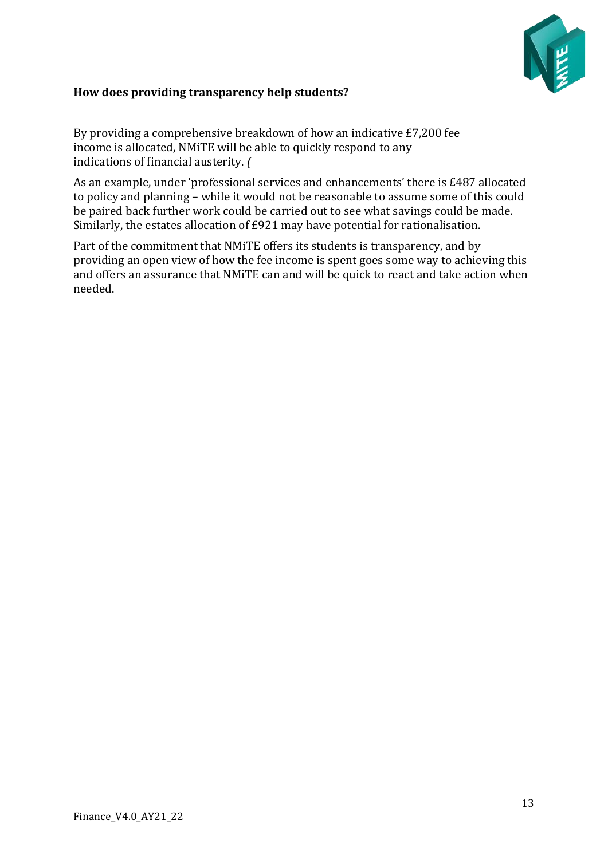

#### **How does providing transparency help students?**

By providing a comprehensive breakdown of how an indicative £7,200 fee income is allocated, NMiTE will be able to quickly respond to any indications of financial austerity. *(*

As an example, under 'professional services and enhancements' there is £487 allocated to policy and planning – while it would not be reasonable to assume some of this could be paired back further work could be carried out to see what savings could be made. Similarly, the estates allocation of £921 may have potential for rationalisation.

Part of the commitment that NMiTE offers its students is transparency, and by providing an open view of how the fee income is spent goes some way to achieving this and offers an assurance that NMiTE can and will be quick to react and take action when needed.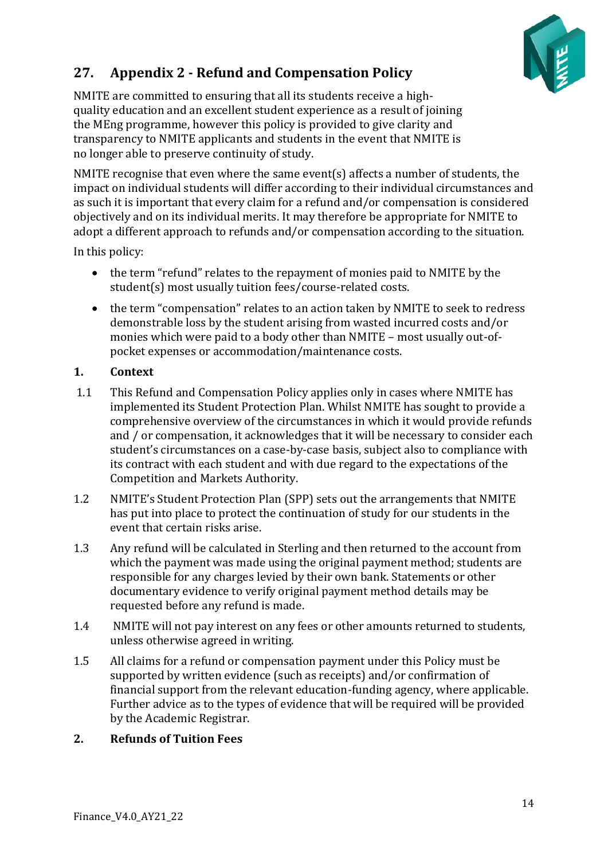

# **27. Appendix 2 - Refund and Compensation Policy**

NMITE are committed to ensuring that all its students receive a highquality education and an excellent student experience as a result of joining the MEng programme, however this policy is provided to give clarity and transparency to NMITE applicants and students in the event that NMITE is no longer able to preserve continuity of study.

NMITE recognise that even where the same event(s) affects a number of students, the impact on individual students will differ according to their individual circumstances and as such it is important that every claim for a refund and/or compensation is considered objectively and on its individual merits. It may therefore be appropriate for NMITE to adopt a different approach to refunds and/or compensation according to the situation.

In this policy:

- the term "refund" relates to the repayment of monies paid to NMITE by the student(s) most usually tuition fees/course-related costs.
- the term "compensation" relates to an action taken by NMITE to seek to redress demonstrable loss by the student arising from wasted incurred costs and/or monies which were paid to a body other than NMITE – most usually out-ofpocket expenses or accommodation/maintenance costs.

#### **1. Context**

- 1.1 This Refund and Compensation Policy applies only in cases where NMITE has implemented its Student Protection Plan. Whilst NMITE has sought to provide a comprehensive overview of the circumstances in which it would provide refunds and / or compensation, it acknowledges that it will be necessary to consider each student's circumstances on a case-by-case basis, subject also to compliance with its contract with each student and with due regard to the expectations of the Competition and Markets Authority.
- 1.2 NMITE's Student Protection Plan (SPP) sets out the arrangements that NMITE has put into place to protect the continuation of study for our students in the event that certain risks arise.
- 1.3 Any refund will be calculated in Sterling and then returned to the account from which the payment was made using the original payment method; students are responsible for any charges levied by their own bank. Statements or other documentary evidence to verify original payment method details may be requested before any refund is made.
- 1.4 NMITE will not pay interest on any fees or other amounts returned to students, unless otherwise agreed in writing.
- 1.5 All claims for a refund or compensation payment under this Policy must be supported by written evidence (such as receipts) and/or confirmation of financial support from the relevant education-funding agency, where applicable. Further advice as to the types of evidence that will be required will be provided by the Academic Registrar.

#### **2. Refunds of Tuition Fees**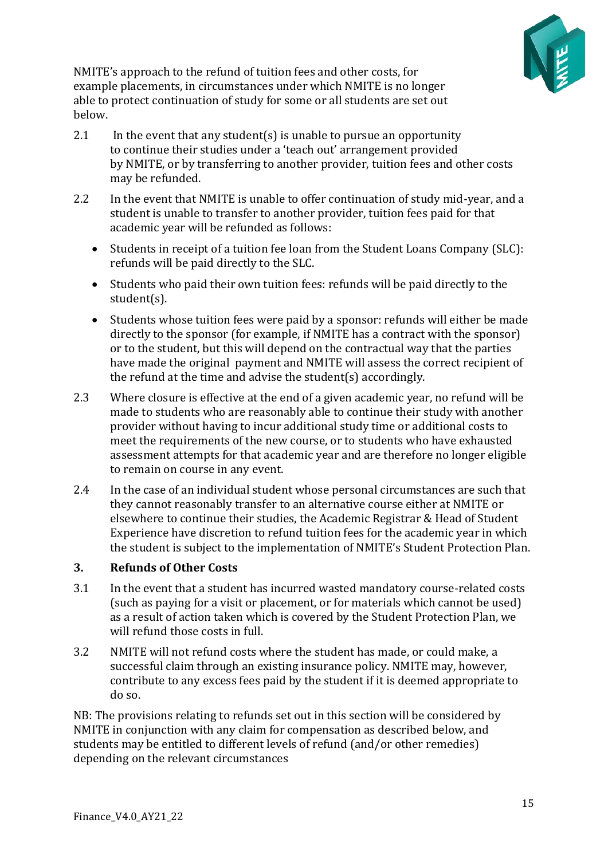

NMITE's approach to the refund of tuition fees and other costs, for example placements, in circumstances under which NMITE is no longer able to protect continuation of study for some or all students are set out below.

- 2.1 In the event that any student(s) is unable to pursue an opportunity to continue their studies under a 'teach out' arrangement provided by NMITE, or by transferring to another provider, tuition fees and other costs may be refunded.
- 2.2 In the event that NMITE is unable to offer continuation of study mid-year, and a student is unable to transfer to another provider, tuition fees paid for that academic year will be refunded as follows:
	- Students in receipt of a tuition fee loan from the Student Loans Company (SLC): refunds will be paid directly to the SLC.
	- Students who paid their own tuition fees: refunds will be paid directly to the student(s).
	- Students whose tuition fees were paid by a sponsor: refunds will either be made directly to the sponsor (for example, if NMITE has a contract with the sponsor) or to the student, but this will depend on the contractual way that the parties have made the original payment and NMITE will assess the correct recipient of the refund at the time and advise the student(s) accordingly.
- 2.3 Where closure is effective at the end of a given academic year, no refund will be made to students who are reasonably able to continue their study with another provider without having to incur additional study time or additional costs to meet the requirements of the new course, or to students who have exhausted assessment attempts for that academic year and are therefore no longer eligible to remain on course in any event.
- 2.4 In the case of an individual student whose personal circumstances are such that they cannot reasonably transfer to an alternative course either at NMITE or elsewhere to continue their studies, the Academic Registrar & Head of Student Experience have discretion to refund tuition fees for the academic year in which the student is subject to the implementation of NMITE's Student Protection Plan.

#### **3. Refunds of Other Costs**

- 3.1 In the event that a student has incurred wasted mandatory course-related costs (such as paying for a visit or placement, or for materials which cannot be used) as a result of action taken which is covered by the Student Protection Plan, we will refund those costs in full.
- 3.2 NMITE will not refund costs where the student has made, or could make, a successful claim through an existing insurance policy. NMITE may, however, contribute to any excess fees paid by the student if it is deemed appropriate to do so.

NB: The provisions relating to refunds set out in this section will be considered by NMITE in conjunction with any claim for compensation as described below, and students may be entitled to different levels of refund (and/or other remedies) depending on the relevant circumstances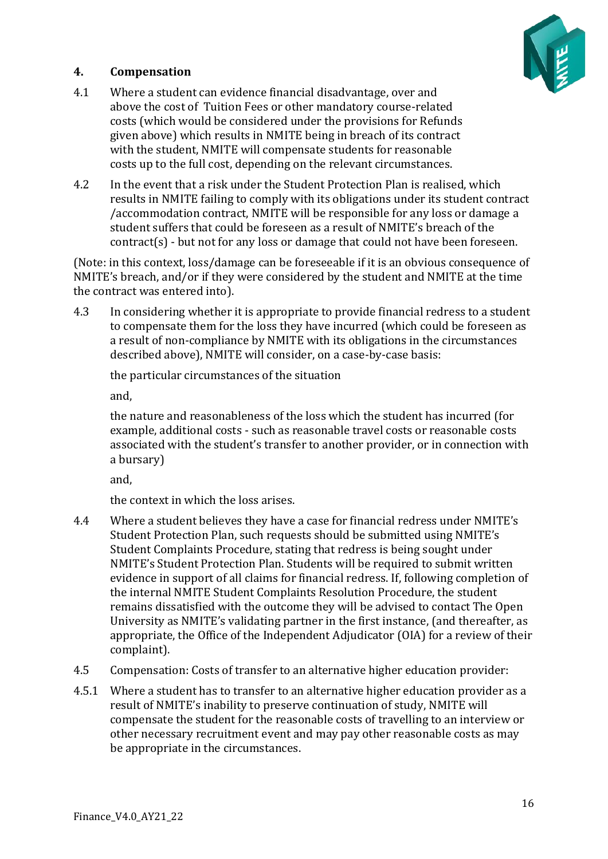![](_page_15_Picture_0.jpeg)

#### **4. Compensation**

- 4.1 Where a student can evidence financial disadvantage, over and above the cost of Tuition Fees or other mandatory course-related costs (which would be considered under the provisions for Refunds given above) which results in NMITE being in breach of its contract with the student, NMITE will compensate students for reasonable costs up to the full cost, depending on the relevant circumstances.
- 4.2 In the event that a risk under the Student Protection Plan is realised, which results in NMITE failing to comply with its obligations under its student contract /accommodation contract, NMITE will be responsible for any loss or damage a student suffers that could be foreseen as a result of NMITE's breach of the contract(s) - but not for any loss or damage that could not have been foreseen.

(Note: in this context, loss/damage can be foreseeable if it is an obvious consequence of NMITE's breach, and/or if they were considered by the student and NMITE at the time the contract was entered into).

4.3 In considering whether it is appropriate to provide financial redress to a student to compensate them for the loss they have incurred (which could be foreseen as a result of non-compliance by NMITE with its obligations in the circumstances described above), NMITE will consider, on a case-by-case basis:

the particular circumstances of the situation

and,

the nature and reasonableness of the loss which the student has incurred (for example, additional costs - such as reasonable travel costs or reasonable costs associated with the student's transfer to another provider, or in connection with a bursary)

and,

the context in which the loss arises.

- 4.4 Where a student believes they have a case for financial redress under NMITE's Student Protection Plan, such requests should be submitted using NMITE's Student Complaints Procedure, stating that redress is being sought under NMITE's Student Protection Plan. Students will be required to submit written evidence in support of all claims for financial redress. If, following completion of the internal NMITE Student Complaints Resolution Procedure, the student remains dissatisfied with the outcome they will be advised to contact The Open University as NMITE's validating partner in the first instance, (and thereafter, as appropriate, the Office of the Independent Adjudicator (OIA) for a review of their complaint).
- 4.5 Compensation: Costs of transfer to an alternative higher education provider:
- 4.5.1 Where a student has to transfer to an alternative higher education provider as a result of NMITE's inability to preserve continuation of study, NMITE will compensate the student for the reasonable costs of travelling to an interview or other necessary recruitment event and may pay other reasonable costs as may be appropriate in the circumstances.